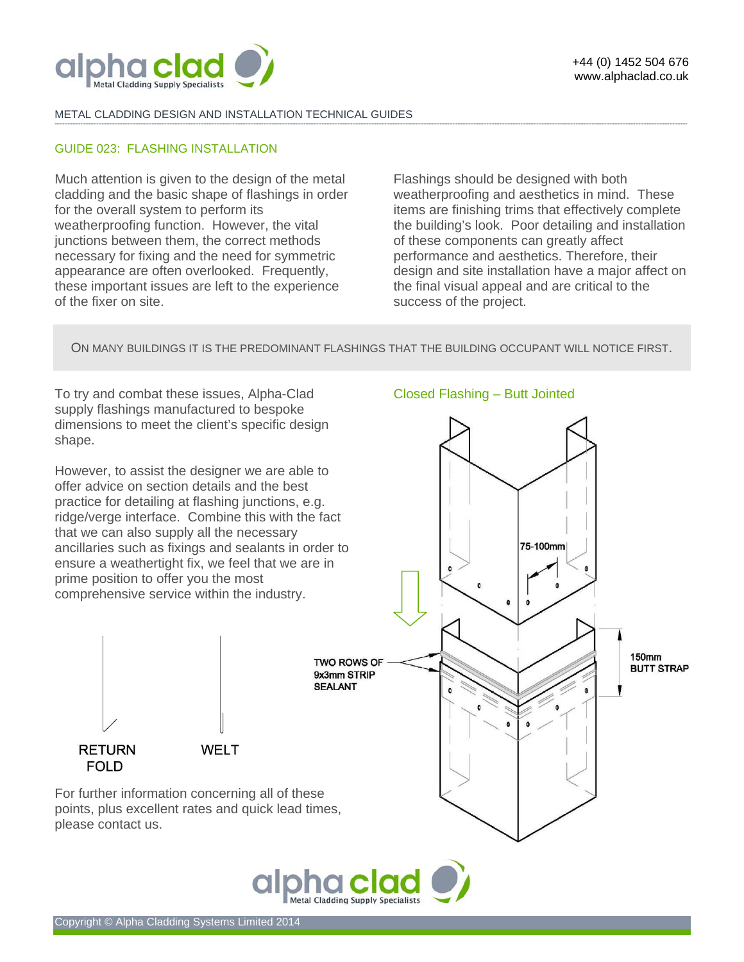

### METAL CLADDING DESIGN AND INSTALLATION TECHNICAL GUIDES

### GUIDE 023: FLASHING INSTALLATION

Much attention is given to the design of the metal cladding and the basic shape of flashings in order for the overall system to perform its weatherproofing function. However, the vital junctions between them, the correct methods necessary for fixing and the need for symmetric appearance are often overlooked. Frequently, these important issues are left to the experience of the fixer on site.

Flashings should be designed with both weatherproofing and aesthetics in mind. These items are finishing trims that effectively complete the building's look. Poor detailing and installation of these components can greatly affect performance and aesthetics. Therefore, their design and site installation have a major affect on the final visual appeal and are critical to the success of the project.

ON MANY BUILDINGS IT IS THE PREDOMINANT FLASHINGS THAT THE BUILDING OCCUPANT WILL NOTICE FIRST.

**-------------------------------------------------------------------------------------------------------------------------------------------------------------------------------------------------------------------------------------------------------------------------------------------------------------------------------------------------------------------------------------------------------** 

To try and combat these issues, Alpha-Clad supply flashings manufactured to bespoke dimensions to meet the client's specific design shape.

However, to assist the designer we are able to offer advice on section details and the best practice for detailing at flashing junctions, e.g. ridge/verge interface. Combine this with the fact that we can also supply all the necessary ancillaries such as fixings and sealants in order to ensure a weathertight fix, we feel that we are in prime position to offer you the most comprehensive service within the industry.

# Closed Flashing – Butt Jointed